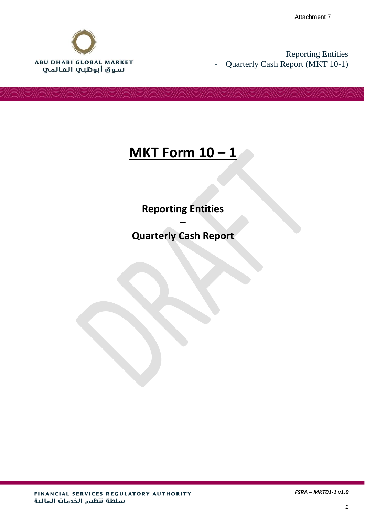Attachment 7



Reporting Entities - Quarterly Cash Report (MKT 10-1)

## **MKT Form 10 – 1**

**Reporting Entities** 

**Quarterly Cash Report**

**–**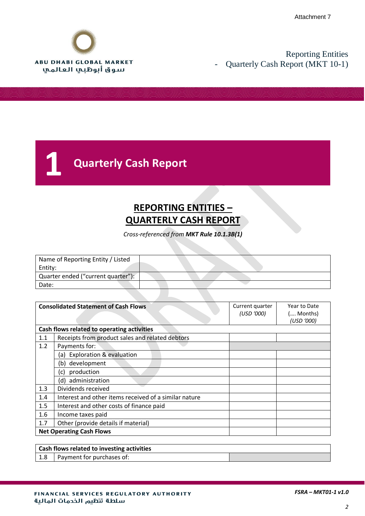

# **1 Quarterly Cash Report**

## **REPORTING ENTITIES – QUARTERLY CASH REPORT**

*Cross-referenced from MKT Rule 10.1.3B(1)*

| Name of Reporting Entity / Listed  |  |
|------------------------------------|--|
| Entity:                            |  |
| Quarter ended ("current quarter"): |  |
| Date:                              |  |

|     | <b>Consolidated Statement of Cash Flows</b>           | Current quarter<br>(USD '000) | Year to Date<br>( Months)<br>(USD '000) |  |
|-----|-------------------------------------------------------|-------------------------------|-----------------------------------------|--|
|     | Cash flows related to operating activities            |                               |                                         |  |
| 1.1 | Receipts from product sales and related debtors       |                               |                                         |  |
| 1.2 | Payments for:                                         |                               |                                         |  |
|     | <b>Exploration &amp; evaluation</b><br>(a)            |                               |                                         |  |
|     | development<br>(b)                                    |                               |                                         |  |
|     | production<br>(c)                                     |                               |                                         |  |
|     | (d) administration                                    |                               |                                         |  |
| 1.3 | Dividends received                                    |                               |                                         |  |
| 1.4 | Interest and other items received of a similar nature |                               |                                         |  |
| 1.5 | Interest and other costs of finance paid              |                               |                                         |  |
| 1.6 | Income taxes paid                                     |                               |                                         |  |
| 1.7 | Other (provide details if material)                   |                               |                                         |  |
|     | <b>Net Operating Cash Flows</b>                       |                               |                                         |  |
|     |                                                       |                               |                                         |  |

| Cash flows related to investing activities |                           |  |
|--------------------------------------------|---------------------------|--|
| $\vert$ 1.8                                | Payment for purchases of: |  |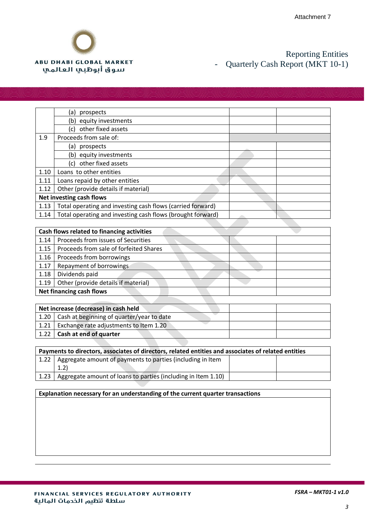

|      | (a)<br>prospects                                           |  |
|------|------------------------------------------------------------|--|
|      | (b) equity investments                                     |  |
|      | other fixed assets<br>(c)                                  |  |
| 1.9  | Proceeds from sale of:                                     |  |
|      | prospects<br>(a)                                           |  |
|      | (b) equity investments                                     |  |
|      | other fixed assets<br>(c)                                  |  |
| 1.10 | Loans to other entities                                    |  |
| 1.11 | Loans repaid by other entities                             |  |
| 1.12 | Other (provide details if material)                        |  |
|      | <b>Net investing cash flows</b>                            |  |
| 1.13 | Total operating and investing cash flows (carried forward) |  |
| 1.14 | Total operating and investing cash flows (brought forward) |  |

|      | Cash flows related to financing activities |  |  |  |  |
|------|--------------------------------------------|--|--|--|--|
| 1.14 | Proceeds from issues of Securities         |  |  |  |  |
| 1.15 | Proceeds from sale of forfeited Shares     |  |  |  |  |
| 1.16 | Proceeds from borrowings                   |  |  |  |  |
| 1.17 | Repayment of borrowings                    |  |  |  |  |
| 1.18 | Dividends paid                             |  |  |  |  |
| 1.19 | Other (provide details if material)        |  |  |  |  |
|      | <b>Net financing cash flows</b>            |  |  |  |  |

| Net increase (decrease) in cash held             |  |  |  |  |
|--------------------------------------------------|--|--|--|--|
| $1.20$ Cash at beginning of quarter/year to date |  |  |  |  |
| $1.21$ Exchange rate adjustments to Item 1.20    |  |  |  |  |
| 1.22   Cash at end of quarter                    |  |  |  |  |

| Payments to directors, associates of directors, related entities and associates of related entities |                                                                   |  |  |
|-----------------------------------------------------------------------------------------------------|-------------------------------------------------------------------|--|--|
|                                                                                                     | 1.22   Aggregate amount of payments to parties (including in Item |  |  |
|                                                                                                     | (1.2)                                                             |  |  |
| 1.23                                                                                                | Aggregate amount of loans to parties (including in Item 1.10)     |  |  |

#### **Explanation necessary for an understanding of the current quarter transactions**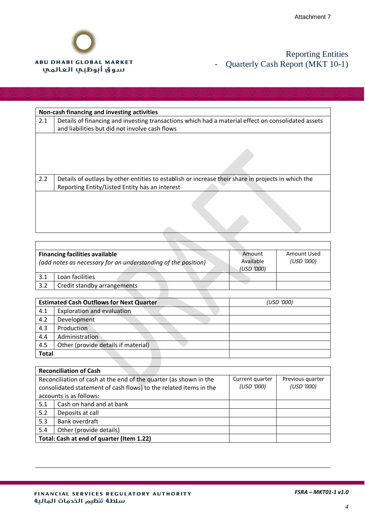

|     | Non-cash financing and investing activities                                                                                                          |  |  |  |
|-----|------------------------------------------------------------------------------------------------------------------------------------------------------|--|--|--|
| 2.1 | Details of financing and investing transactions which had a material effect on consolidated assets<br>and liabilities but did not involve cash flows |  |  |  |
|     |                                                                                                                                                      |  |  |  |
| 2.2 | Details of outlays by other entities to establish or increase their share in projects in which the<br>Reporting Entity/Listed Entity has an interest |  |  |  |
|     |                                                                                                                                                      |  |  |  |

| <b>Financing facilities available</b><br>(add notes as necessary for an understanding of the position) |                             | Amount<br>Available<br>(USD '000) | Amount Used<br>(USD '000) |
|--------------------------------------------------------------------------------------------------------|-----------------------------|-----------------------------------|---------------------------|
| 3.1                                                                                                    | Loan facilities             |                                   |                           |
| 3.2                                                                                                    | Credit standby arrangements |                                   |                           |

|              | <b>Estimated Cash Outflows for Next Quarter</b> | (USD '000) |
|--------------|-------------------------------------------------|------------|
| 4.1          | <b>Exploration and evaluation</b>               |            |
| 4.2          | Development                                     |            |
| 4.3          | Production                                      |            |
| 4.4          | Administration                                  |            |
| 4.5          | Other (provide details if material)             |            |
| <b>Total</b> |                                                 |            |

| <b>Reconciliation of Cash</b> |                                                                                                          |            |            |  |  |
|-------------------------------|----------------------------------------------------------------------------------------------------------|------------|------------|--|--|
|                               | Reconciliation of cash at the end of the quarter (as shown in the<br>Current quarter<br>Previous quarter |            |            |  |  |
|                               | consolidated statement of cash flows) to the related items in the                                        | (USD '000) | (USD '000) |  |  |
|                               | accounts is as follows:                                                                                  |            |            |  |  |
| 5.1                           | Cash on hand and at bank                                                                                 |            |            |  |  |
| 5.2                           | Deposits at call                                                                                         |            |            |  |  |
| Bank overdraft<br>5.3         |                                                                                                          |            |            |  |  |
| 5.4                           | Other (provide details)                                                                                  |            |            |  |  |
|                               | Total: Cash at end of quarter (Item 1.22)                                                                |            |            |  |  |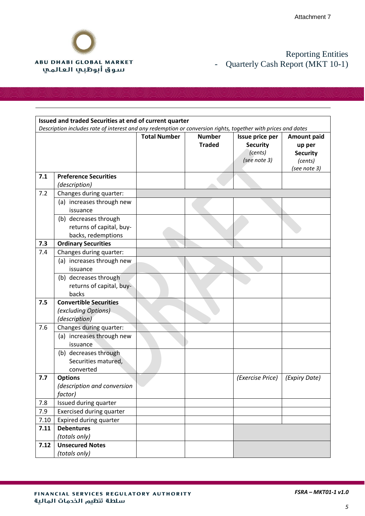

|      | Issued and traded Securities at end of current quarter                                                        |                     |                                |                                                               |                                                                            |
|------|---------------------------------------------------------------------------------------------------------------|---------------------|--------------------------------|---------------------------------------------------------------|----------------------------------------------------------------------------|
|      | Description includes rate of interest and any redemption or conversion rights, together with prices and dates |                     |                                |                                                               |                                                                            |
|      |                                                                                                               | <b>Total Number</b> | <b>Number</b><br><b>Traded</b> | Issue price per<br><b>Security</b><br>(cents)<br>(see note 3) | <b>Amount paid</b><br>up per<br><b>Security</b><br>(cents)<br>(see note 3) |
| 7.1  | <b>Preference Securities</b><br>(description)                                                                 |                     |                                |                                                               |                                                                            |
| 7.2  | Changes during quarter:<br>(a) increases through new<br>issuance<br>(b) decreases through                     |                     |                                |                                                               |                                                                            |
|      | returns of capital, buy-<br>backs, redemptions                                                                |                     |                                |                                                               |                                                                            |
| 7.3  | <b>Ordinary Securities</b>                                                                                    |                     |                                |                                                               |                                                                            |
| 7.4  | Changes during quarter:                                                                                       |                     |                                |                                                               |                                                                            |
|      | (a) increases through new<br>issuance                                                                         |                     |                                |                                                               |                                                                            |
|      | (b) decreases through<br>returns of capital, buy-<br>backs                                                    |                     |                                |                                                               |                                                                            |
| 7.5  | <b>Convertible Securities</b><br>(excluding Options)<br>(description)                                         |                     |                                |                                                               |                                                                            |
| 7.6  | Changes during quarter:                                                                                       |                     |                                |                                                               |                                                                            |
|      | (a) increases through new<br>issuance                                                                         |                     |                                |                                                               |                                                                            |
|      | (b) decreases through<br>Securities matured,<br>converted                                                     |                     |                                |                                                               |                                                                            |
| 7.7  | <b>Options</b><br>(description and conversion<br>factor)                                                      |                     |                                | (Exercise Price)                                              | (Expiry Date)                                                              |
| 7.8  | Issued during quarter                                                                                         |                     |                                |                                                               |                                                                            |
| 7.9  | <b>Exercised during quarter</b>                                                                               |                     |                                |                                                               |                                                                            |
| 7.10 | Expired during quarter                                                                                        |                     |                                |                                                               |                                                                            |
| 7.11 | <b>Debentures</b>                                                                                             |                     |                                |                                                               |                                                                            |
|      | (totals only)                                                                                                 |                     |                                |                                                               |                                                                            |
| 7.12 | <b>Unsecured Notes</b><br>(totals only)                                                                       |                     |                                |                                                               |                                                                            |